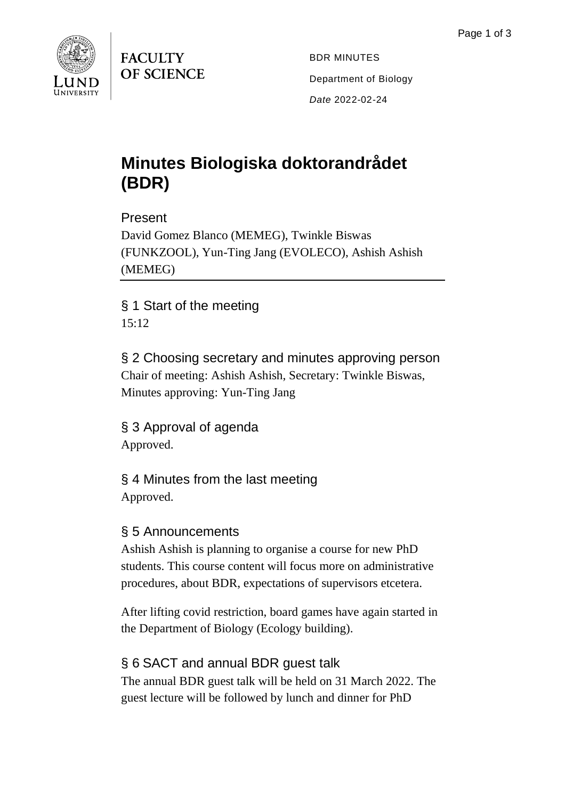

**FACULTY** OF SCIENCE

BDR MINUTES Department of Biology *Date* 2022-02-24

# **Minutes Biologiska doktorandrådet (BDR)**

Present

David Gomez Blanco (MEMEG), Twinkle Biswas (FUNKZOOL), Yun-Ting Jang (EVOLECO), Ashish Ashish (MEMEG)

§ 1 Start of the meeting 15:12

§ 2 Choosing secretary and minutes approving person Chair of meeting: Ashish Ashish, Secretary: Twinkle Biswas, Minutes approving: Yun-Ting Jang

§ 3 Approval of agenda Approved.

§ 4 Minutes from the last meeting Approved.

## § 5 Announcements

Ashish Ashish is planning to organise a course for new PhD students. This course content will focus more on administrative procedures, about BDR, expectations of supervisors etcetera.

After lifting covid restriction, board games have again started in the Department of Biology (Ecology building).

## § 6 SACT and annual BDR guest talk

The annual BDR guest talk will be held on 31 March 2022. The guest lecture will be followed by lunch and dinner for PhD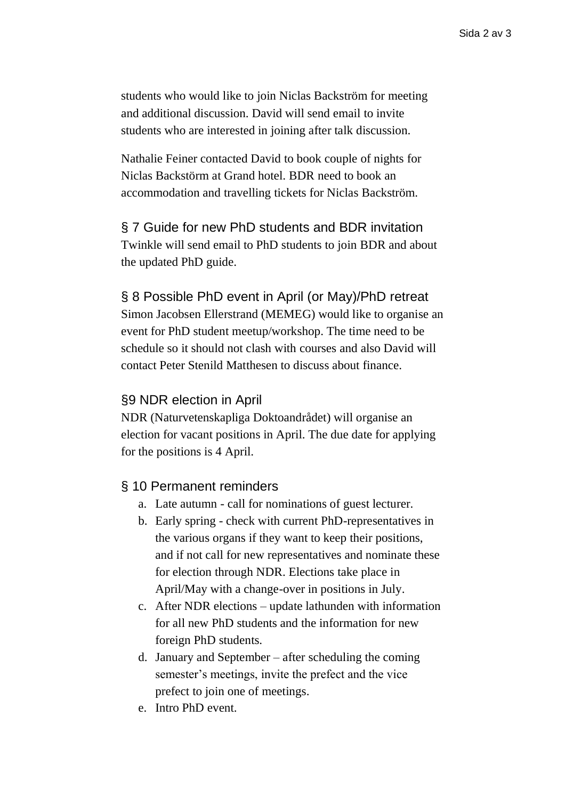students who would like to join Niclas Backström for meeting and additional discussion. David will send email to invite students who are interested in joining after talk discussion.

Nathalie Feiner contacted David to book couple of nights for Niclas Backstörm at Grand hotel. BDR need to book an accommodation and travelling tickets for Niclas Backström.

#### § 7 Guide for new PhD students and BDR invitation

Twinkle will send email to PhD students to join BDR and about the updated PhD guide.

#### § 8 Possible PhD event in April (or May)/PhD retreat

Simon Jacobsen Ellerstrand (MEMEG) would like to organise an event for PhD student meetup/workshop. The time need to be schedule so it should not clash with courses and also David will contact Peter Stenild Matthesen to discuss about finance.

#### §9 NDR election in April

NDR (Naturvetenskapliga Doktoandrådet) will organise an election for vacant positions in April. The due date for applying for the positions is 4 April.

#### § 10 Permanent reminders

- a. Late autumn call for nominations of guest lecturer.
- b. Early spring check with current PhD-representatives in the various organs if they want to keep their positions, and if not call for new representatives and nominate these for election through NDR. Elections take place in April/May with a change-over in positions in July.
- c. After NDR elections update lathunden with information for all new PhD students and the information for new foreign PhD students.
- d. January and September after scheduling the coming semester's meetings, invite the prefect and the vice prefect to join one of meetings.
- e. Intro PhD event.